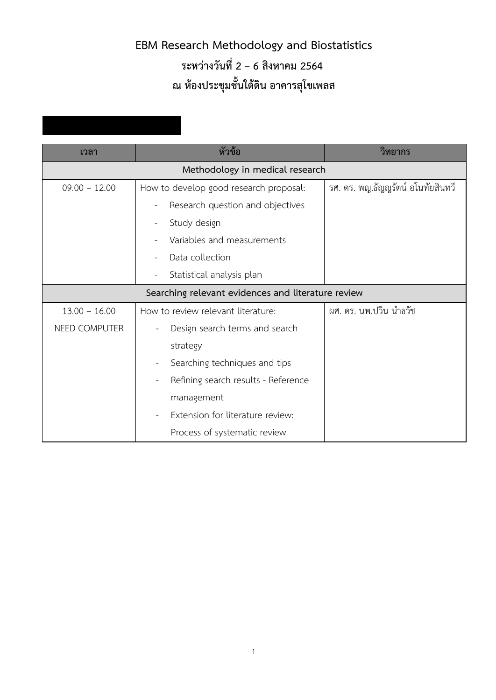## **EBM Research Methodology and Biostatistics ระหวางวันที่ 2 – 6 สิงหาคม 2564 ณ หองประชุมชั้นใตดิน อาคารสุโขเพลส**

| เวลา            | หัวข้อ                                                | วิทยากร                           |
|-----------------|-------------------------------------------------------|-----------------------------------|
|                 | Methodology in medical research                       |                                   |
| $09.00 - 12.00$ | How to develop good research proposal:                | รศ. ดร. พญ.ธัญญรัตน์ อโนทัยสินทวี |
|                 | Research question and objectives                      |                                   |
|                 | Study design<br>$\overline{\phantom{a}}$              |                                   |
|                 | Variables and measurements                            |                                   |
|                 | Data collection                                       |                                   |
|                 | Statistical analysis plan                             |                                   |
|                 | Searching relevant evidences and literature review    |                                   |
| $13.00 - 16.00$ | How to review relevant literature:                    | ผศ. ดร. นพ.ปวิน นำธวัช            |
| NEED COMPUTER   | Design search terms and search                        |                                   |
|                 | strategy                                              |                                   |
|                 | Searching techniques and tips<br>L,                   |                                   |
|                 | Refining search results - Reference<br>$\overline{a}$ |                                   |
|                 | management                                            |                                   |
|                 | Extension for literature review:                      |                                   |
|                 | Process of systematic review                          |                                   |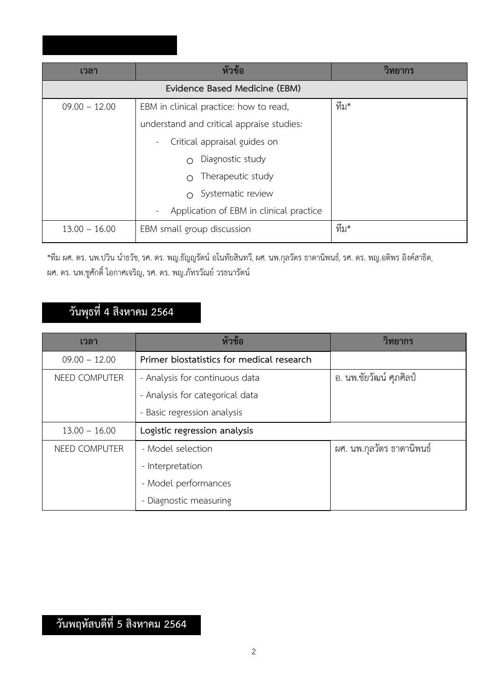| เวลา            | หัวข้อ                                                              | วิทยากร |
|-----------------|---------------------------------------------------------------------|---------|
|                 | Evidence Based Medicine (EBM)                                       |         |
| $09.00 - 12.00$ | EBM in clinical practice: how to read,                              | ทีม*    |
|                 | understand and critical appraise studies:                           |         |
|                 | Critical appraisal guides on                                        |         |
|                 | Diagnostic study<br>$\bigcap$                                       |         |
|                 | Therapeutic study<br>$\cap$                                         |         |
|                 | Systematic review<br>$\bigcap$                                      |         |
|                 | Application of EBM in clinical practice<br>$\overline{\phantom{a}}$ |         |
| $13.00 - 16.00$ | EBM small group discussion                                          | ทีม*    |
|                 |                                                                     |         |

\*ทีม ผศ. ดร. นพ.ปวิน นำธวัช, รศ. ดร. พญ.ธัญญรัตน อโนทัยสินทวี,ผศ. นพ.กุลวัตร ธาดานิพนธ, รศ. ดร. พญ.อติพร อิงคสาธิต, ผศ. ดร. นพ.ชูศักดิ์ โอกาศเจริญ, รศ. ดร. พญ.ภัทรวัณย วรธนารัตน

## **วันพุธที่ 4 สิงหาคม 2564**

| เวลา            | หัวข้อ                                    | วิทยากร                   |
|-----------------|-------------------------------------------|---------------------------|
| $09.00 - 12.00$ | Primer biostatistics for medical research |                           |
| NEED COMPUTER   | - Analysis for continuous data            | อ. นพ.ชัยวัฒน์ ศุภศิลป์   |
|                 | - Analysis for categorical data           |                           |
|                 | - Basic regression analysis               |                           |
| $13.00 - 16.00$ | Logistic regression analysis              |                           |
| NEED COMPUTER   | - Model selection                         | ผศ. นพ.กุลวัตร ธาดานิพนธ์ |
|                 | - Interpretation                          |                           |
|                 | - Model performances                      |                           |
|                 | - Diagnostic measuring                    |                           |

## **วันพฤหัสบดีที่ 5 สิงหาคม 2564**